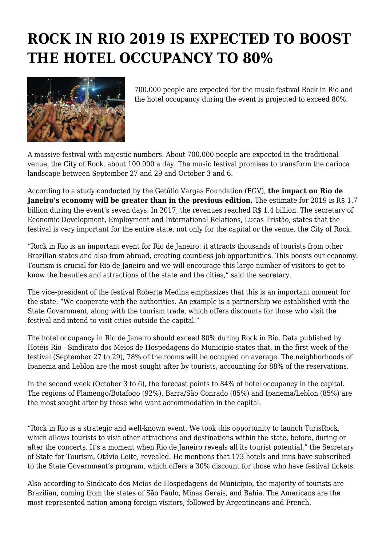## **ROCK IN RIO 2019 IS EXPECTED TO BOOST THE HOTEL OCCUPANCY TO 80%**



700.000 people are expected for the music festival Rock in Rio and the hotel occupancy during the event is projected to exceed 80%.

A massive festival with majestic numbers. About 700.000 people are expected in the traditional venue, the City of Rock, about 100.000 a day. The music festival promises to transform the carioca landscape between September 27 and 29 and October 3 and 6.

According to a study conducted by the Getúlio Vargas Foundation (FGV), **the impact on Rio de Janeiro's economy will be greater than in the previous edition.** The estimate for 2019 is R\$ 1.7 billion during the event's seven days. In 2017, the revenues reached R\$ 1.4 billion. The secretary of Economic Development, Employment and International Relations, Lucas Tristão, states that the festival is very important for the entire state, not only for the capital or the venue, the City of Rock.

"Rock in Rio is an important event for Rio de Janeiro: it attracts thousands of tourists from other Brazilian states and also from abroad, creating countless job opportunities. This boosts our economy. Tourism is crucial for Rio de Janeiro and we will encourage this large number of visitors to get to know the beauties and attractions of the state and the cities," said the secretary.

The vice-president of the festival Roberta Medina emphasizes that this is an important moment for the state. "We cooperate with the authorities. An example is a partnership we established with the State Government, along with the tourism trade, which offers discounts for those who visit the festival and intend to visit cities outside the capital."

The hotel occupancy in Rio de Janeiro should exceed 80% during Rock in Rio. Data published by Hotéis Rio - Sindicato dos Meios de Hospedagens do Município states that, in the first week of the festival (September 27 to 29), 78% of the rooms will be occupied on average. The neighborhoods of Ipanema and Leblon are the most sought after by tourists, accounting for 88% of the reservations.

In the second week (October 3 to 6), the forecast points to 84% of hotel occupancy in the capital. The regions of Flamengo/Botafogo (92%), Barra/São Conrado (85%) and Ipanema/Leblon (85%) are the most sought after by those who want accommodation in the capital.

"Rock in Rio is a strategic and well-known event. We took this opportunity to launch TurisRock, which allows tourists to visit other attractions and destinations within the state, before, during or after the concerts. It's a moment when Rio de Janeiro reveals all its tourist potential," the Secretary of State for Tourism, Otávio Leite, revealed. He mentions that 173 hotels and inns have subscribed to the State Government's program, which offers a 30% discount for those who have festival tickets.

Also according to Sindicato dos Meios de Hospedagens do Município, the majority of tourists are Brazilian, coming from the states of São Paulo, Minas Gerais, and Bahia. The Americans are the most represented nation among foreign visitors, followed by Argentineans and French.